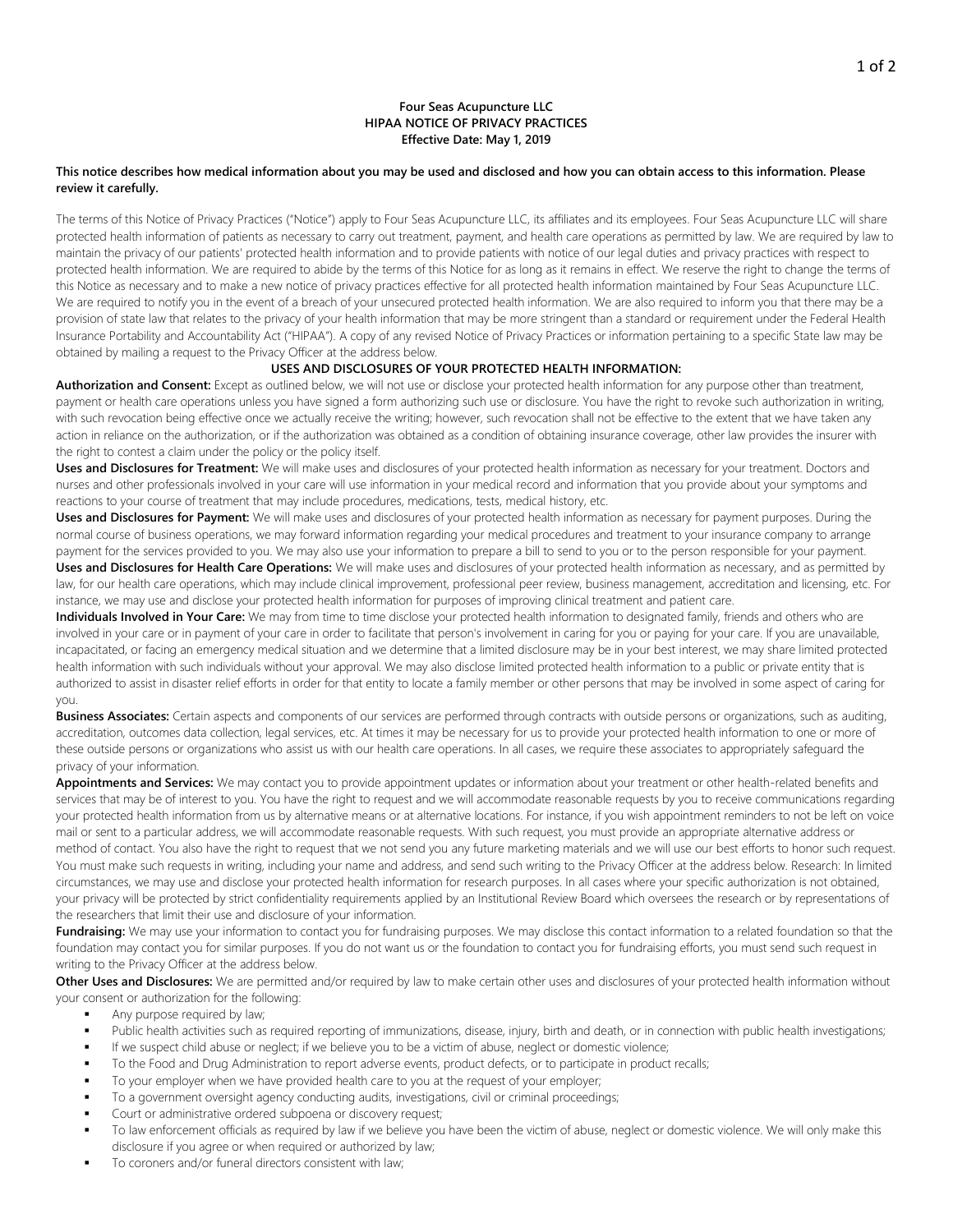# **Four Seas Acupuncture LLC HIPAA NOTICE OF PRIVACY PRACTICES Effective Date: May 1, 2019**

#### **This notice describes how medical information about you may be used and disclosed and how you can obtain access to this information. Please review it carefully.**

The terms of this Notice of Privacy Practices ("Notice") apply to Four Seas Acupuncture LLC, its affiliates and its employees. Four Seas Acupuncture LLC will share protected health information of patients as necessary to carry out treatment, payment, and health care operations as permitted by law. We are required by law to maintain the privacy of our patients' protected health information and to provide patients with notice of our legal duties and privacy practices with respect to protected health information. We are required to abide by the terms of this Notice for as long as it remains in effect. We reserve the right to change the terms of this Notice as necessary and to make a new notice of privacy practices effective for all protected health information maintained by Four Seas Acupuncture LLC. We are required to notify you in the event of a breach of your unsecured protected health information. We are also required to inform you that there may be a provision of state law that relates to the privacy of your health information that may be more stringent than a standard or requirement under the Federal Health Insurance Portability and Accountability Act ("HIPAA"). A copy of any revised Notice of Privacy Practices or information pertaining to a specific State law may be obtained by mailing a request to the Privacy Officer at the address below.

# **USES AND DISCLOSURES OF YOUR PROTECTED HEALTH INFORMATION:**

**Authorization and Consent:** Except as outlined below, we will not use or disclose your protected health information for any purpose other than treatment, payment or health care operations unless you have signed a form authorizing such use or disclosure. You have the right to revoke such authorization in writing, with such revocation being effective once we actually receive the writing; however, such revocation shall not be effective to the extent that we have taken any action in reliance on the authorization, or if the authorization was obtained as a condition of obtaining insurance coverage, other law provides the insurer with the right to contest a claim under the policy or the policy itself.

**Uses and Disclosures for Treatment:** We will make uses and disclosures of your protected health information as necessary for your treatment. Doctors and nurses and other professionals involved in your care will use information in your medical record and information that you provide about your symptoms and reactions to your course of treatment that may include procedures, medications, tests, medical history, etc.

**Uses and Disclosures for Payment:** We will make uses and disclosures of your protected health information as necessary for payment purposes. During the normal course of business operations, we may forward information regarding your medical procedures and treatment to your insurance company to arrange payment for the services provided to you. We may also use your information to prepare a bill to send to you or to the person responsible for your payment. **Uses and Disclosures for Health Care Operations:** We will make uses and disclosures of your protected health information as necessary, and as permitted by law, for our health care operations, which may include clinical improvement, professional peer review, business management, accreditation and licensing, etc. For instance, we may use and disclose your protected health information for purposes of improving clinical treatment and patient care.

**Individuals Involved in Your Care:** We may from time to time disclose your protected health information to designated family, friends and others who are involved in your care or in payment of your care in order to facilitate that person's involvement in caring for you or paying for your care. If you are unavailable, incapacitated, or facing an emergency medical situation and we determine that a limited disclosure may be in your best interest, we may share limited protected health information with such individuals without your approval. We may also disclose limited protected health information to a public or private entity that is authorized to assist in disaster relief efforts in order for that entity to locate a family member or other persons that may be involved in some aspect of caring for you.

**Business Associates:** Certain aspects and components of our services are performed through contracts with outside persons or organizations, such as auditing, accreditation, outcomes data collection, legal services, etc. At times it may be necessary for us to provide your protected health information to one or more of these outside persons or organizations who assist us with our health care operations. In all cases, we require these associates to appropriately safeguard the privacy of your information.

**Appointments and Services:** We may contact you to provide appointment updates or information about your treatment or other health-related benefits and services that may be of interest to you. You have the right to request and we will accommodate reasonable requests by you to receive communications regarding your protected health information from us by alternative means or at alternative locations. For instance, if you wish appointment reminders to not be left on voice mail or sent to a particular address, we will accommodate reasonable requests. With such request, you must provide an appropriate alternative address or method of contact. You also have the right to request that we not send you any future marketing materials and we will use our best efforts to honor such request. You must make such requests in writing, including your name and address, and send such writing to the Privacy Officer at the address below. Research: In limited circumstances, we may use and disclose your protected health information for research purposes. In all cases where your specific authorization is not obtained, your privacy will be protected by strict confidentiality requirements applied by an Institutional Review Board which oversees the research or by representations of the researchers that limit their use and disclosure of your information.

Fundraising: We may use your information to contact you for fundraising purposes. We may disclose this contact information to a related foundation so that the foundation may contact you for similar purposes. If you do not want us or the foundation to contact you for fundraising efforts, you must send such request in writing to the Privacy Officer at the address below.

**Other Uses and Disclosures:** We are permitted and/or required by law to make certain other uses and disclosures of your protected health information without your consent or authorization for the following:

- Any purpose required by law;
- Public health activities such as required reporting of immunizations, disease, injury, birth and death, or in connection with public health investigations;
- If we suspect child abuse or neglect; if we believe you to be a victim of abuse, neglect or domestic violence;
- To the Food and Drug Administration to report adverse events, product defects, or to participate in product recalls;
- To your employer when we have provided health care to you at the request of your employer;
- To a government oversight agency conducting audits, investigations, civil or criminal proceedings;
- Court or administrative ordered subpoena or discovery request;
- To law enforcement officials as required by law if we believe you have been the victim of abuse, neglect or domestic violence. We will only make this disclosure if you agree or when required or authorized by law;
- To coroners and/or funeral directors consistent with law;